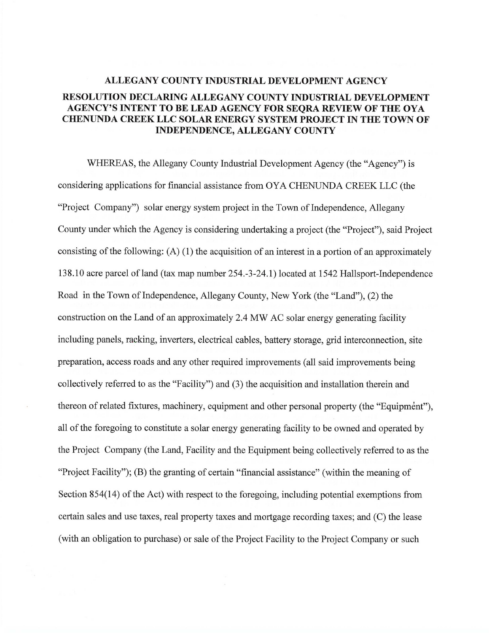## ALLEGANY COUNTY INDUSTRIAL DEVELOPMENT AGENCY RESOLUTION DECLARING ALLEGANY COUNTY INDUSTRIAL DEVELOPMENT AGENCY'S INTENT TO BE LEAD AGENCY FOR SEQRA REVIEW OF THE OYA CHENUNDA CREEK LLC SOLAR ENERGY SYSTEM PROJECT IN THE TOWN OF INDEPENDENCE, ALLEGANY COUNTY

WHEREAS, the Allegany County Industrial Development Agency (the "Agency'') is considering applications for financial assistance from OYA CHENUNDA CREEK LLC (the "Project Company") solar energy system project in the Town of Independence, Allegany County under which the Agency is considering undertaking a project (the "Project"), said Project consisting of the following: (A) (1) the acquisition of an interest in a portion of an approximately 138.10 acre parcel of land (tax map number 254.-3-24.1) located at 1542 Hallsport-Independence Road in the Town of Independence, Allegany County, New York (the "Land"), (2) the construction on the Land of an approximately 2.4 MW AC solar energy generating facility including panels, racking, inverters, electrical cables, battery storage, grid interconnection, site preparation, access roads and any other required improvements (all said improvements being collectively referred to as the "Facility") and (3) the acquisition and installation therein and thereon of related fixtures, machinery, equipment and other personal property (the "Equipment"), all of the foregoing to constitute a solar energy generating facility to be owned and operated by the Project Company (the Land, Facility and the Equipment being collectively referred to as the "Project Facility"); (B) the granting of certain "financial assistance" (within the meaning of Section 854(14) of the Act) with respect to the foregoing, including potential exemptions from certain sales and use taxes, real property taxes and mortgage recording taxes; and (C) the lease (with an obligation to purchase) or sale of the Project Facility to the Project Company or such